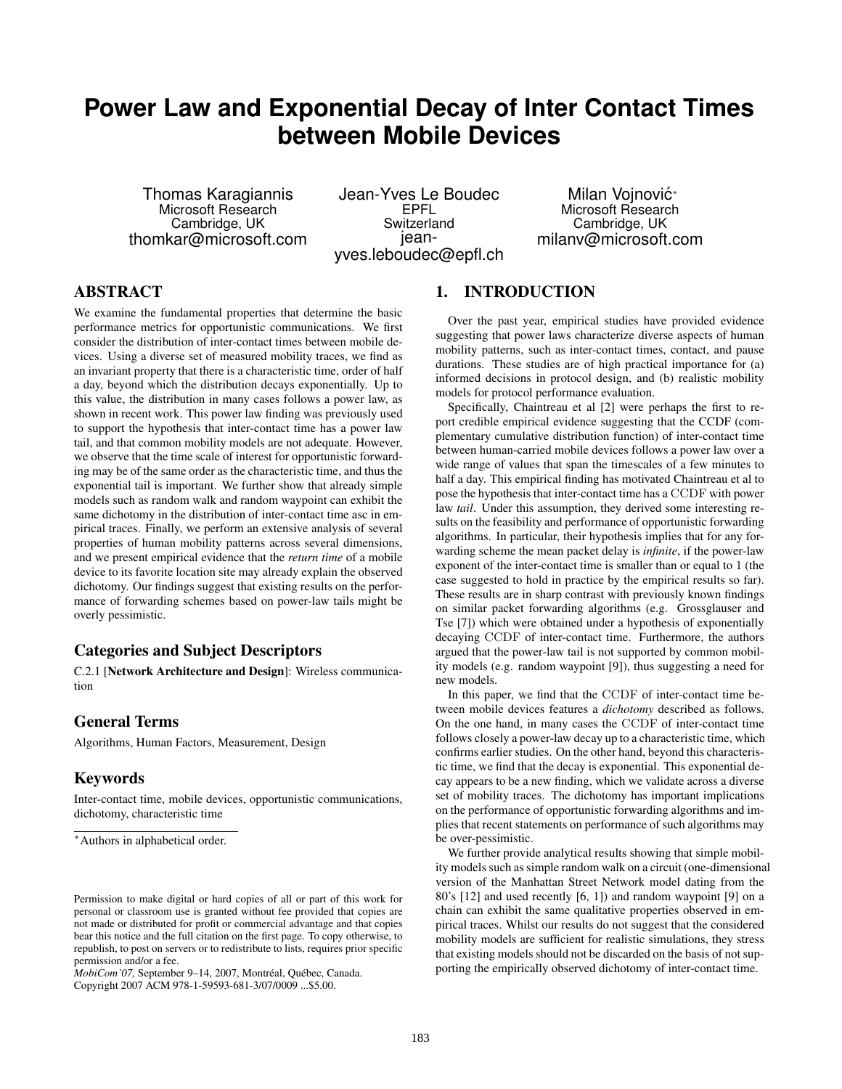# **Power Law and Exponential Decay of Inter Contact Times between Mobile Devices**

Thomas Karagiannis Microsoft Research Cambridge, UK thomkar@microsoft.com

Jean-Yves Le Boudec EPFL Switzerland jeanyves.leboudec@epfl.ch

Milan Vojnović<sup>\*</sup> Microsoft Research Cambridge, UK milanv@microsoft.com

# ABSTRACT

We examine the fundamental properties that determine the basic performance metrics for opportunistic communications. We first consider the distribution of inter-contact times between mobile devices. Using a diverse set of measured mobility traces, we find as an invariant property that there is a characteristic time, order of half a day, beyond which the distribution decays exponentially. Up to this value, the distribution in many cases follows a power law, as shown in recent work. This power law finding was previously used to support the hypothesis that inter-contact time has a power law tail, and that common mobility models are not adequate. However, we observe that the time scale of interest for opportunistic forwarding may be of the same order as the characteristic time, and thus the exponential tail is important. We further show that already simple models such as random walk and random waypoint can exhibit the same dichotomy in the distribution of inter-contact time asc in empirical traces. Finally, we perform an extensive analysis of several properties of human mobility patterns across several dimensions, and we present empirical evidence that the *return time* of a mobile device to its favorite location site may already explain the observed dichotomy. Our findings suggest that existing results on the performance of forwarding schemes based on power-law tails might be overly pessimistic.

# Categories and Subject Descriptors

C.2.1 [Network Architecture and Design]: Wireless communication

# General Terms

Algorithms, Human Factors, Measurement, Design

# Keywords

Inter-contact time, mobile devices, opportunistic communications, dichotomy, characteristic time

*MobiCom'07,* September 9–14, 2007, Montréal, Québec, Canada.

Copyright 2007 ACM 978-1-59593-681-3/07/0009 ...\$5.00.

# 1. INTRODUCTION

Over the past year, empirical studies have provided evidence suggesting that power laws characterize diverse aspects of human mobility patterns, such as inter-contact times, contact, and pause durations. These studies are of high practical importance for (a) informed decisions in protocol design, and (b) realistic mobility models for protocol performance evaluation.

Specifically, Chaintreau et al [2] were perhaps the first to report credible empirical evidence suggesting that the CCDF (complementary cumulative distribution function) of inter-contact time between human-carried mobile devices follows a power law over a wide range of values that span the timescales of a few minutes to half a day. This empirical finding has motivated Chaintreau et al to pose the hypothesis that inter-contact time has a CCDF with power law *tail*. Under this assumption, they derived some interesting results on the feasibility and performance of opportunistic forwarding algorithms. In particular, their hypothesis implies that for any forwarding scheme the mean packet delay is *infinite*, if the power-law exponent of the inter-contact time is smaller than or equal to 1 (the case suggested to hold in practice by the empirical results so far). These results are in sharp contrast with previously known findings on similar packet forwarding algorithms (e.g. Grossglauser and Tse [7]) which were obtained under a hypothesis of exponentially decaying CCDF of inter-contact time. Furthermore, the authors argued that the power-law tail is not supported by common mobility models (e.g. random waypoint [9]), thus suggesting a need for new models.

In this paper, we find that the CCDF of inter-contact time between mobile devices features a *dichotomy* described as follows. On the one hand, in many cases the CCDF of inter-contact time follows closely a power-law decay up to a characteristic time, which confirms earlier studies. On the other hand, beyond this characteristic time, we find that the decay is exponential. This exponential decay appears to be a new finding, which we validate across a diverse set of mobility traces. The dichotomy has important implications on the performance of opportunistic forwarding algorithms and implies that recent statements on performance of such algorithms may be over-pessimistic.

We further provide analytical results showing that simple mobility models such as simple random walk on a circuit (one-dimensional version of the Manhattan Street Network model dating from the 80's [12] and used recently [6, 1]) and random waypoint [9] on a chain can exhibit the same qualitative properties observed in empirical traces. Whilst our results do not suggest that the considered mobility models are sufficient for realistic simulations, they stress that existing models should not be discarded on the basis of not supporting the empirically observed dichotomy of inter-contact time.

<sup>∗</sup>Authors in alphabetical order.

Permission to make digital or hard copies of all or part of this work for personal or classroom use is granted without fee provided that copies are not made or distributed for profit or commercial advantage and that copies bear this notice and the full citation on the first page. To copy otherwise, to republish, to post on servers or to redistribute to lists, requires prior specific permission and/or a fee.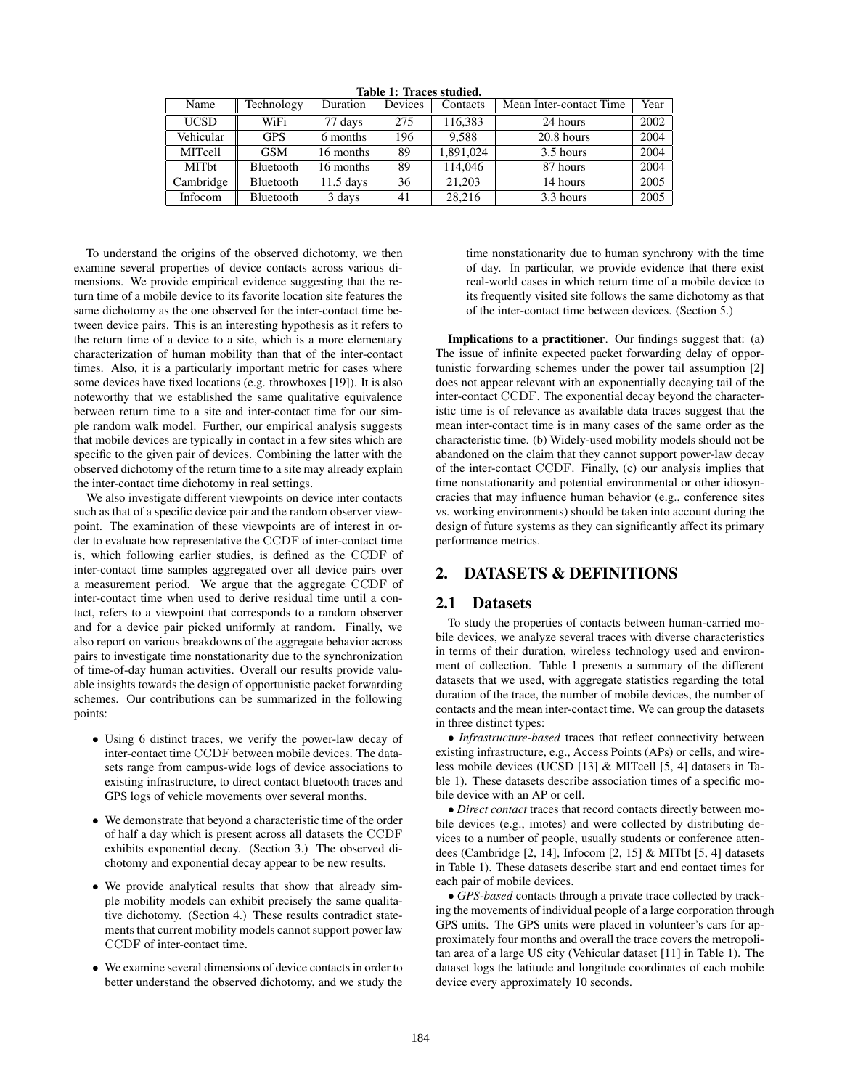Table 1: Traces studied.

| Name         | Technology | Duration    | Devices | Contacts  | Mean Inter-contact Time | Year |
|--------------|------------|-------------|---------|-----------|-------------------------|------|
| <b>UCSD</b>  | WiFi       | 77 days     | 275     | 116,383   | 24 hours                | 2002 |
| Vehicular    | <b>GPS</b> | 6 months    | 196     | 9.588     | 20.8 hours              | 2004 |
| MITcell      | <b>GSM</b> | 16 months   | 89      | 1.891.024 | 3.5 hours               | 2004 |
| <b>MITht</b> | Bluetooth  | 16 months   | 89      | 114,046   | 87 hours                | 2004 |
| Cambridge    | Bluetooth  | $11.5$ days | 36      | 21,203    | 14 hours                | 2005 |
| Infocom      | Bluetooth  | 3 days      | 41      | 28,216    | 3.3 hours               | 2005 |

To understand the origins of the observed dichotomy, we then examine several properties of device contacts across various dimensions. We provide empirical evidence suggesting that the return time of a mobile device to its favorite location site features the same dichotomy as the one observed for the inter-contact time between device pairs. This is an interesting hypothesis as it refers to the return time of a device to a site, which is a more elementary characterization of human mobility than that of the inter-contact times. Also, it is a particularly important metric for cases where some devices have fixed locations (e.g. throwboxes [19]). It is also noteworthy that we established the same qualitative equivalence between return time to a site and inter-contact time for our simple random walk model. Further, our empirical analysis suggests that mobile devices are typically in contact in a few sites which are specific to the given pair of devices. Combining the latter with the observed dichotomy of the return time to a site may already explain the inter-contact time dichotomy in real settings.

We also investigate different viewpoints on device inter contacts such as that of a specific device pair and the random observer viewpoint. The examination of these viewpoints are of interest in order to evaluate how representative the CCDF of inter-contact time is, which following earlier studies, is defined as the CCDF of inter-contact time samples aggregated over all device pairs over a measurement period. We argue that the aggregate CCDF of inter-contact time when used to derive residual time until a contact, refers to a viewpoint that corresponds to a random observer and for a device pair picked uniformly at random. Finally, we also report on various breakdowns of the aggregate behavior across pairs to investigate time nonstationarity due to the synchronization of time-of-day human activities. Overall our results provide valuable insights towards the design of opportunistic packet forwarding schemes. Our contributions can be summarized in the following points:

- Using 6 distinct traces, we verify the power-law decay of inter-contact time CCDF between mobile devices. The datasets range from campus-wide logs of device associations to existing infrastructure, to direct contact bluetooth traces and GPS logs of vehicle movements over several months.
- We demonstrate that beyond a characteristic time of the order of half a day which is present across all datasets the CCDF exhibits exponential decay. (Section 3.) The observed dichotomy and exponential decay appear to be new results.
- We provide analytical results that show that already simple mobility models can exhibit precisely the same qualitative dichotomy. (Section 4.) These results contradict statements that current mobility models cannot support power law CCDF of inter-contact time.
- We examine several dimensions of device contacts in order to better understand the observed dichotomy, and we study the

time nonstationarity due to human synchrony with the time of day. In particular, we provide evidence that there exist real-world cases in which return time of a mobile device to its frequently visited site follows the same dichotomy as that of the inter-contact time between devices. (Section 5.)

Implications to a practitioner. Our findings suggest that: (a) The issue of infinite expected packet forwarding delay of opportunistic forwarding schemes under the power tail assumption [2] does not appear relevant with an exponentially decaying tail of the inter-contact CCDF. The exponential decay beyond the characteristic time is of relevance as available data traces suggest that the mean inter-contact time is in many cases of the same order as the characteristic time. (b) Widely-used mobility models should not be abandoned on the claim that they cannot support power-law decay of the inter-contact CCDF. Finally, (c) our analysis implies that time nonstationarity and potential environmental or other idiosyncracies that may influence human behavior (e.g., conference sites vs. working environments) should be taken into account during the design of future systems as they can significantly affect its primary performance metrics.

# 2. DATASETS & DEFINITIONS

# 2.1 Datasets

To study the properties of contacts between human-carried mobile devices, we analyze several traces with diverse characteristics in terms of their duration, wireless technology used and environment of collection. Table 1 presents a summary of the different datasets that we used, with aggregate statistics regarding the total duration of the trace, the number of mobile devices, the number of contacts and the mean inter-contact time. We can group the datasets in three distinct types:

• *Infrastructure-based* traces that reflect connectivity between existing infrastructure, e.g., Access Points (APs) or cells, and wireless mobile devices (UCSD [13] & MITcell [5, 4] datasets in Table 1). These datasets describe association times of a specific mobile device with an AP or cell.

• *Direct contact* traces that record contacts directly between mobile devices (e.g., imotes) and were collected by distributing devices to a number of people, usually students or conference attendees (Cambridge [2, 14], Infocom [2, 15] & MITbt [5, 4] datasets in Table 1). These datasets describe start and end contact times for each pair of mobile devices.

• *GPS-based* contacts through a private trace collected by tracking the movements of individual people of a large corporation through GPS units. The GPS units were placed in volunteer's cars for approximately four months and overall the trace covers the metropolitan area of a large US city (Vehicular dataset [11] in Table 1). The dataset logs the latitude and longitude coordinates of each mobile device every approximately 10 seconds.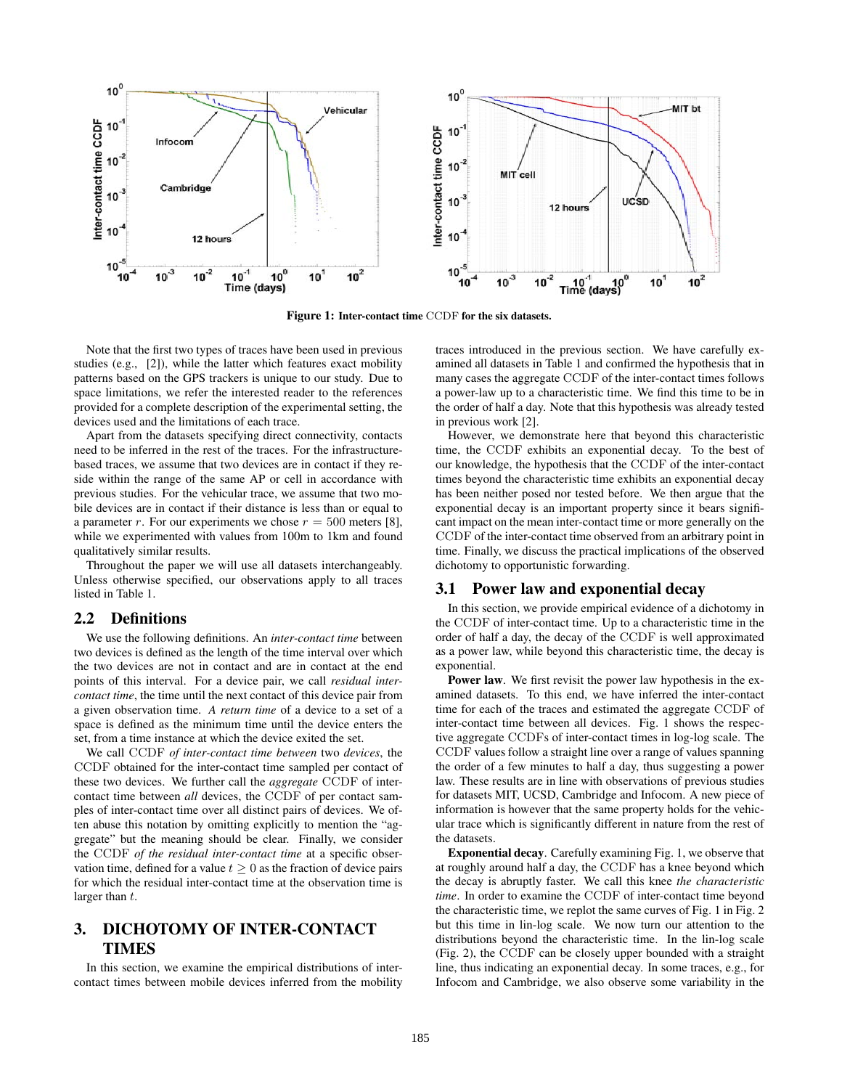

Figure 1: Inter-contact time CCDF for the six datasets.

Note that the first two types of traces have been used in previous studies (e.g., [2]), while the latter which features exact mobility patterns based on the GPS trackers is unique to our study. Due to space limitations, we refer the interested reader to the references provided for a complete description of the experimental setting, the devices used and the limitations of each trace.

Apart from the datasets specifying direct connectivity, contacts need to be inferred in the rest of the traces. For the infrastructurebased traces, we assume that two devices are in contact if they reside within the range of the same AP or cell in accordance with previous studies. For the vehicular trace, we assume that two mobile devices are in contact if their distance is less than or equal to a parameter r. For our experiments we chose  $r = 500$  meters [8], while we experimented with values from 100m to 1km and found qualitatively similar results.

Throughout the paper we will use all datasets interchangeably. Unless otherwise specified, our observations apply to all traces listed in Table 1.

### 2.2 Definitions

We use the following definitions. An *inter-contact time* between two devices is defined as the length of the time interval over which the two devices are not in contact and are in contact at the end points of this interval. For a device pair, we call *residual intercontact time*, the time until the next contact of this device pair from a given observation time. *A return time* of a device to a set of a space is defined as the minimum time until the device enters the set, from a time instance at which the device exited the set.

We call CCDF *of inter-contact time between* two *devices*, the CCDF obtained for the inter-contact time sampled per contact of these two devices. We further call the *aggregate* CCDF of intercontact time between *all* devices, the CCDF of per contact samples of inter-contact time over all distinct pairs of devices. We often abuse this notation by omitting explicitly to mention the "aggregate" but the meaning should be clear. Finally, we consider the CCDF *of the residual inter-contact time* at a specific observation time, defined for a value  $t \geq 0$  as the fraction of device pairs for which the residual inter-contact time at the observation time is larger than  $t$ .

# 3. DICHOTOMY OF INTER-CONTACT TIMES

In this section, we examine the empirical distributions of intercontact times between mobile devices inferred from the mobility traces introduced in the previous section. We have carefully examined all datasets in Table 1 and confirmed the hypothesis that in many cases the aggregate CCDF of the inter-contact times follows a power-law up to a characteristic time. We find this time to be in the order of half a day. Note that this hypothesis was already tested in previous work [2].

However, we demonstrate here that beyond this characteristic time, the CCDF exhibits an exponential decay. To the best of our knowledge, the hypothesis that the CCDF of the inter-contact times beyond the characteristic time exhibits an exponential decay has been neither posed nor tested before. We then argue that the exponential decay is an important property since it bears significant impact on the mean inter-contact time or more generally on the CCDF of the inter-contact time observed from an arbitrary point in time. Finally, we discuss the practical implications of the observed dichotomy to opportunistic forwarding.

### 3.1 Power law and exponential decay

In this section, we provide empirical evidence of a dichotomy in the CCDF of inter-contact time. Up to a characteristic time in the order of half a day, the decay of the CCDF is well approximated as a power law, while beyond this characteristic time, the decay is exponential.

Power law. We first revisit the power law hypothesis in the examined datasets. To this end, we have inferred the inter-contact time for each of the traces and estimated the aggregate CCDF of inter-contact time between all devices. Fig. 1 shows the respective aggregate CCDFs of inter-contact times in log-log scale. The CCDF values follow a straight line over a range of values spanning the order of a few minutes to half a day, thus suggesting a power law. These results are in line with observations of previous studies for datasets MIT, UCSD, Cambridge and Infocom. A new piece of information is however that the same property holds for the vehicular trace which is significantly different in nature from the rest of the datasets.

Exponential decay. Carefully examining Fig. 1, we observe that at roughly around half a day, the CCDF has a knee beyond which the decay is abruptly faster. We call this knee *the characteristic time*. In order to examine the CCDF of inter-contact time beyond the characteristic time, we replot the same curves of Fig. 1 in Fig. 2 but this time in lin-log scale. We now turn our attention to the distributions beyond the characteristic time. In the lin-log scale (Fig. 2), the CCDF can be closely upper bounded with a straight line, thus indicating an exponential decay. In some traces, e.g., for Infocom and Cambridge, we also observe some variability in the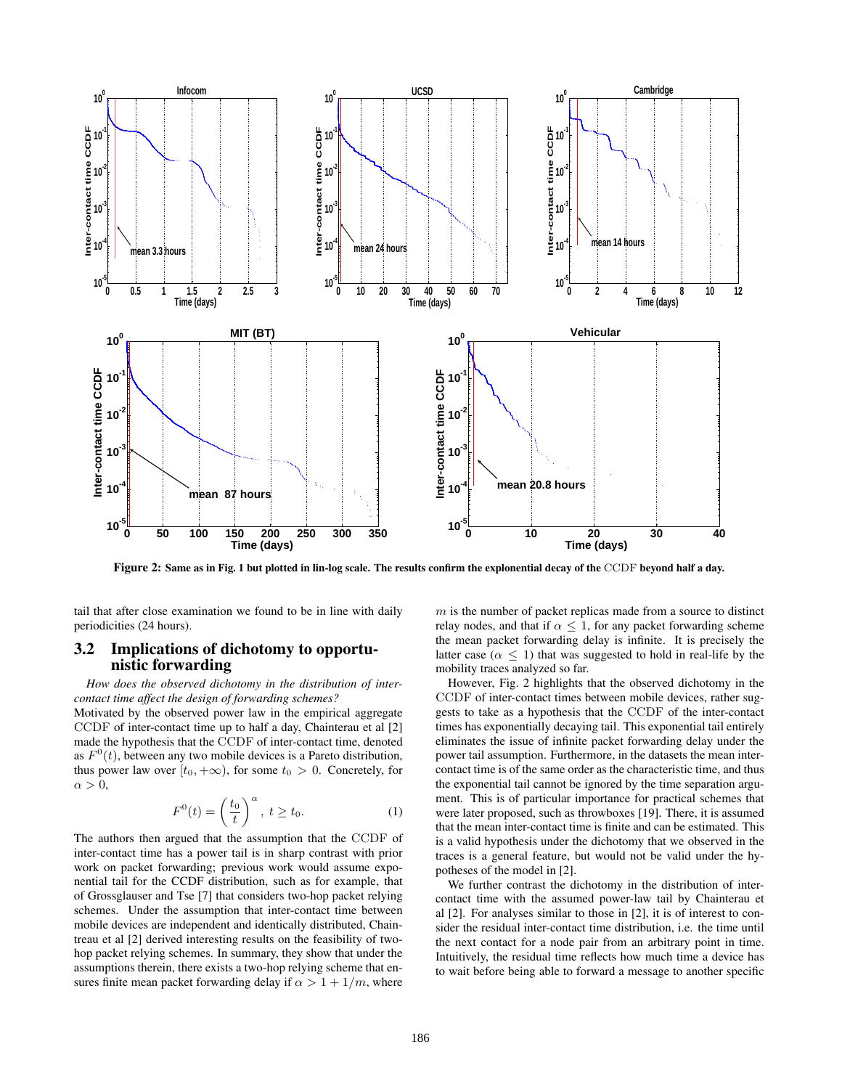

Figure 2: Same as in Fig. 1 but plotted in lin-log scale. The results confirm the explonential decay of the CCDF beyond half a day.

tail that after close examination we found to be in line with daily periodicities (24 hours).

# 3.2 Implications of dichotomy to opportunistic forwarding

*How does the observed dichotomy in the distribution of intercontact time affect the design of forwarding schemes?*

Motivated by the observed power law in the empirical aggregate CCDF of inter-contact time up to half a day, Chainterau et al [2] made the hypothesis that the CCDF of inter-contact time, denoted as  $F^{0}(t)$ , between any two mobile devices is a Pareto distribution, thus power law over  $[t_0, +\infty)$ , for some  $t_0 > 0$ . Concretely, for  $\alpha > 0$ ,

$$
F^{0}(t) = \left(\frac{t_{0}}{t}\right)^{\alpha}, \ t \geq t_{0}.
$$
 (1)

The authors then argued that the assumption that the CCDF of inter-contact time has a power tail is in sharp contrast with prior work on packet forwarding; previous work would assume exponential tail for the CCDF distribution, such as for example, that of Grossglauser and Tse [7] that considers two-hop packet relying schemes. Under the assumption that inter-contact time between mobile devices are independent and identically distributed, Chaintreau et al [2] derived interesting results on the feasibility of twohop packet relying schemes. In summary, they show that under the assumptions therein, there exists a two-hop relying scheme that ensures finite mean packet forwarding delay if  $\alpha > 1 + 1/m$ , where  $m$  is the number of packet replicas made from a source to distinct relay nodes, and that if  $\alpha \leq 1$ , for any packet forwarding scheme the mean packet forwarding delay is infinite. It is precisely the latter case ( $\alpha \leq 1$ ) that was suggested to hold in real-life by the mobility traces analyzed so far.

However, Fig. 2 highlights that the observed dichotomy in the CCDF of inter-contact times between mobile devices, rather suggests to take as a hypothesis that the CCDF of the inter-contact times has exponentially decaying tail. This exponential tail entirely eliminates the issue of infinite packet forwarding delay under the power tail assumption. Furthermore, in the datasets the mean intercontact time is of the same order as the characteristic time, and thus the exponential tail cannot be ignored by the time separation argument. This is of particular importance for practical schemes that were later proposed, such as throwboxes [19]. There, it is assumed that the mean inter-contact time is finite and can be estimated. This is a valid hypothesis under the dichotomy that we observed in the traces is a general feature, but would not be valid under the hypotheses of the model in [2].

We further contrast the dichotomy in the distribution of intercontact time with the assumed power-law tail by Chainterau et al [2]. For analyses similar to those in [2], it is of interest to consider the residual inter-contact time distribution, i.e. the time until the next contact for a node pair from an arbitrary point in time. Intuitively, the residual time reflects how much time a device has to wait before being able to forward a message to another specific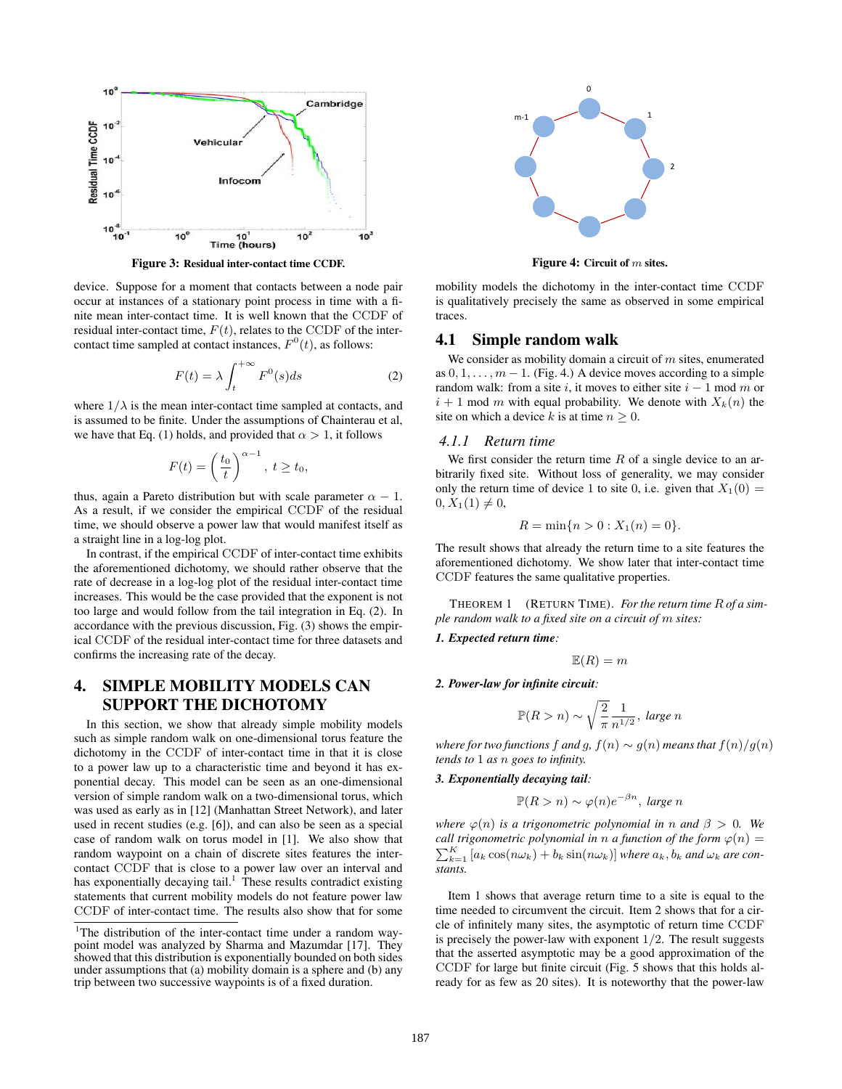

Figure 3: Residual inter-contact time CCDF.

device. Suppose for a moment that contacts between a node pair occur at instances of a stationary point process in time with a finite mean inter-contact time. It is well known that the CCDF of residual inter-contact time,  $F(t)$ , relates to the CCDF of the intercontact time sampled at contact instances,  $F^0(t)$ , as follows:

$$
F(t) = \lambda \int_{t}^{+\infty} F^{0}(s)ds
$$
 (2)

where  $1/\lambda$  is the mean inter-contact time sampled at contacts, and is assumed to be finite. Under the assumptions of Chainterau et al, we have that Eq. (1) holds, and provided that  $\alpha > 1$ , it follows

$$
F(t) = \left(\frac{t_0}{t}\right)^{\alpha - 1}, \ t \ge t_0,
$$

thus, again a Pareto distribution but with scale parameter  $\alpha - 1$ . As a result, if we consider the empirical CCDF of the residual time, we should observe a power law that would manifest itself as a straight line in a log-log plot.

In contrast, if the empirical CCDF of inter-contact time exhibits the aforementioned dichotomy, we should rather observe that the rate of decrease in a log-log plot of the residual inter-contact time increases. This would be the case provided that the exponent is not too large and would follow from the tail integration in Eq. (2). In accordance with the previous discussion, Fig. (3) shows the empirical CCDF of the residual inter-contact time for three datasets and confirms the increasing rate of the decay.

# 4. SIMPLE MOBILITY MODELS CAN SUPPORT THE DICHOTOMY

In this section, we show that already simple mobility models such as simple random walk on one-dimensional torus feature the dichotomy in the CCDF of inter-contact time in that it is close to a power law up to a characteristic time and beyond it has exponential decay. This model can be seen as an one-dimensional version of simple random walk on a two-dimensional torus, which was used as early as in [12] (Manhattan Street Network), and later used in recent studies (e.g. [6]), and can also be seen as a special case of random walk on torus model in [1]. We also show that random waypoint on a chain of discrete sites features the intercontact CCDF that is close to a power law over an interval and has exponentially decaying tail.<sup>1</sup> These results contradict existing statements that current mobility models do not feature power law CCDF of inter-contact time. The results also show that for some



Figure 4: Circuit of m sites.

mobility models the dichotomy in the inter-contact time CCDF is qualitatively precisely the same as observed in some empirical traces.

### 4.1 Simple random walk

We consider as mobility domain a circuit of  $m$  sites, enumerated as  $0, 1, \ldots, m-1$ . (Fig. 4.) A device moves according to a simple random walk: from a site i, it moves to either site  $i - 1$  mod m or  $i + 1$  mod m with equal probability. We denote with  $X_k(n)$  the site on which a device k is at time  $n \geq 0$ .

#### *4.1.1 Return time*

We first consider the return time  $R$  of a single device to an arbitrarily fixed site. Without loss of generality, we may consider only the return time of device 1 to site 0, i.e. given that  $X_1(0) =$  $0, X_1(1) \neq 0,$ 

$$
R = \min\{n > 0 : X_1(n) = 0\}.
$$

The result shows that already the return time to a site features the aforementioned dichotomy. We show later that inter-contact time CCDF features the same qualitative properties.

THEOREM 1 (RETURN TIME). *For the return time* R *of a simple random walk to a fixed site on a circuit of* m *sites:*

#### *1. Expected return time:*

$$
\mathbb{E}(R) = m
$$

*2. Power-law for infinite circuit:*

$$
\mathbb{P}(R > n) \sim \sqrt{\frac{2}{\pi}} \frac{1}{n^{1/2}}, \text{ large } n
$$

*where for two functions* f *and* g,  $f(n) \sim g(n)$  *means that*  $f(n)/g(n)$ *tends to* 1 *as* n *goes to infinity.*

#### *3. Exponentially decaying tail:*

$$
\mathbb{P}(R > n) \sim \varphi(n)e^{-\beta n}, \text{ large } n
$$

*where*  $\varphi(n)$  *is a trigonometric polynomial in n and*  $\beta > 0$ *. We call trigonometric polynomial in n a function of the form*  $\varphi(n)$  = call trigonometric polynomial in *n* a function of the form  $\varphi(n) = \sum_{k=1}^{K} [a_k \cos(n\omega_k) + b_k \sin(n\omega_k)]$  where  $a_k, b_k$  and  $\omega_k$  are con*stants.*

Item 1 shows that average return time to a site is equal to the time needed to circumvent the circuit. Item 2 shows that for a circle of infinitely many sites, the asymptotic of return time CCDF is precisely the power-law with exponent  $1/2$ . The result suggests that the asserted asymptotic may be a good approximation of the CCDF for large but finite circuit (Fig. 5 shows that this holds already for as few as 20 sites). It is noteworthy that the power-law

<sup>&</sup>lt;sup>1</sup>The distribution of the inter-contact time under a random waypoint model was analyzed by Sharma and Mazumdar [17]. They showed that this distribution is exponentially bounded on both sides under assumptions that (a) mobility domain is a sphere and (b) any trip between two successive waypoints is of a fixed duration.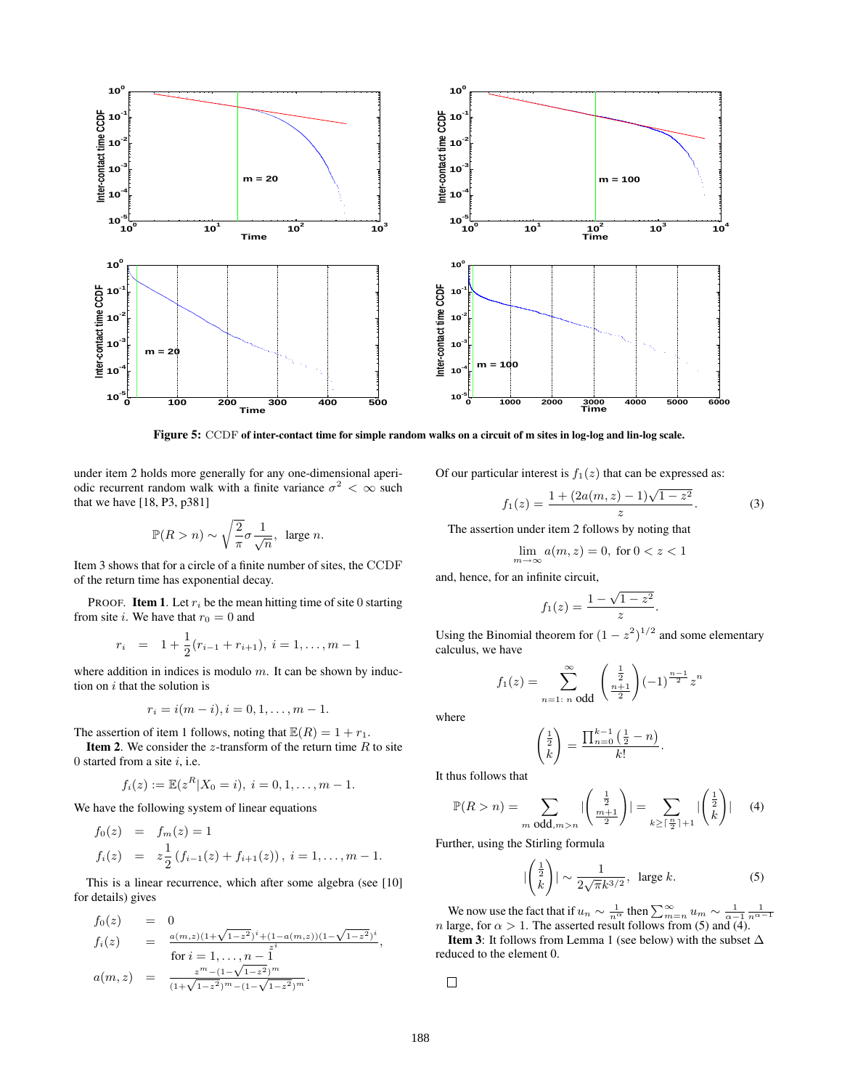

Figure 5: CCDF of inter-contact time for simple random walks on a circuit of m sites in log-log and lin-log scale.

under item 2 holds more generally for any one-dimensional aperiodic recurrent random walk with a finite variance  $\sigma^2 < \infty$  such that we have [18, P3, p381]

$$
\mathbb{P}(R > n) \sim \sqrt{\frac{2}{\pi}} \sigma \frac{1}{\sqrt{n}}, \text{ large } n.
$$

Item 3 shows that for a circle of a finite number of sites, the CCDF of the return time has exponential decay.

PROOF. **Item 1**. Let  $r_i$  be the mean hitting time of site 0 starting from site *i*. We have that  $r_0 = 0$  and

$$
r_i = 1 + \frac{1}{2}(r_{i-1} + r_{i+1}), \ i = 1, \dots, m-1
$$

where addition in indices is modulo  $m$ . It can be shown by induction on  $i$  that the solution is

$$
r_i = i(m - i), i = 0, 1, \dots, m - 1.
$$

The assertion of item 1 follows, noting that  $\mathbb{E}(R) = 1 + r_1$ .

**Item 2.** We consider the z-transform of the return time  $R$  to site 0 started from a site  $i$ , i.e.

$$
f_i(z) := \mathbb{E}(z^R | X_0 = i), i = 0, 1, \dots, m - 1.
$$

We have the following system of linear equations

$$
f_0(z) = f_m(z) = 1
$$
  
\n
$$
f_i(z) = z \frac{1}{2} (f_{i-1}(z) + f_{i+1}(z)), i = 1,..., m-1.
$$

This is a linear recurrence, which after some algebra (see [10] for details) gives

$$
f_0(z) = 0
$$
  
\n
$$
f_i(z) = \frac{a(m,z)(1+\sqrt{1-z^2})^i + (1-a(m,z))(1-\sqrt{1-z^2})^i}{\text{for } i = 1, ..., n - \hat{1}},
$$
  
\n
$$
a(m,z) = \frac{z^m - (1-\sqrt{1-z^2})^m}{(1+\sqrt{1-z^2})^m - (1-\sqrt{1-z^2})^m}.
$$

Of our particular interest is  $f_1(z)$  that can be expressed as:

$$
f_1(z) = \frac{1 + (2a(m, z) - 1)\sqrt{1 - z^2}}{z}.
$$
 (3)

The assertion under item 2 follows by noting that

$$
\lim_{m \to \infty} a(m, z) = 0, \text{ for } 0 < z < 1
$$

and, hence, for an infinite circuit,

$$
f_1(z) = \frac{1 - \sqrt{1 - z^2}}{z}.
$$

Using the Binomial theorem for  $(1 - z^2)^{1/2}$  and some elementary calculus, we have

$$
f_1(z) = \sum_{n=1: n \text{ odd}}^{\infty} \binom{\frac{1}{2}}{\frac{n+1}{2}} (-1)^{\frac{n-1}{2}} z^n
$$

where

$$
\begin{pmatrix} \frac{1}{2} \\ k \end{pmatrix} = \frac{\prod_{n=0}^{k-1} \left( \frac{1}{2} - n \right)}{k!}.
$$

It thus follows that

$$
\mathbb{P}(R > n) = \sum_{m \text{ odd}, m > n} |\left(\frac{\frac{1}{2}}{\frac{m+1}{2}}\right)| = \sum_{k \geq \lceil \frac{n}{2} \rceil + 1} |\left(\frac{\frac{1}{2}}{k}\right)| \quad (4)
$$

Further, using the Stirling formula

$$
|\left(\frac{\frac{1}{2}}{k}\right)| \sim \frac{1}{2\sqrt{\pi}k^{3/2}}, \text{ large } k. \tag{5}
$$

We now use the fact that if  $u_n \sim \frac{1}{n^{\alpha}}$  then  $\sum_{m=n}^{\infty} u_m \sim \frac{1}{\alpha-1} \frac{1}{n^{\alpha-1}}$ <br>*n* large, for  $\alpha > 1$ . The asserted result follows from (5) and (4).

**Item 3:** It follows from Lemma 1 (see below) with the subset  $\Delta$ reduced to the element 0.

$$
\Box
$$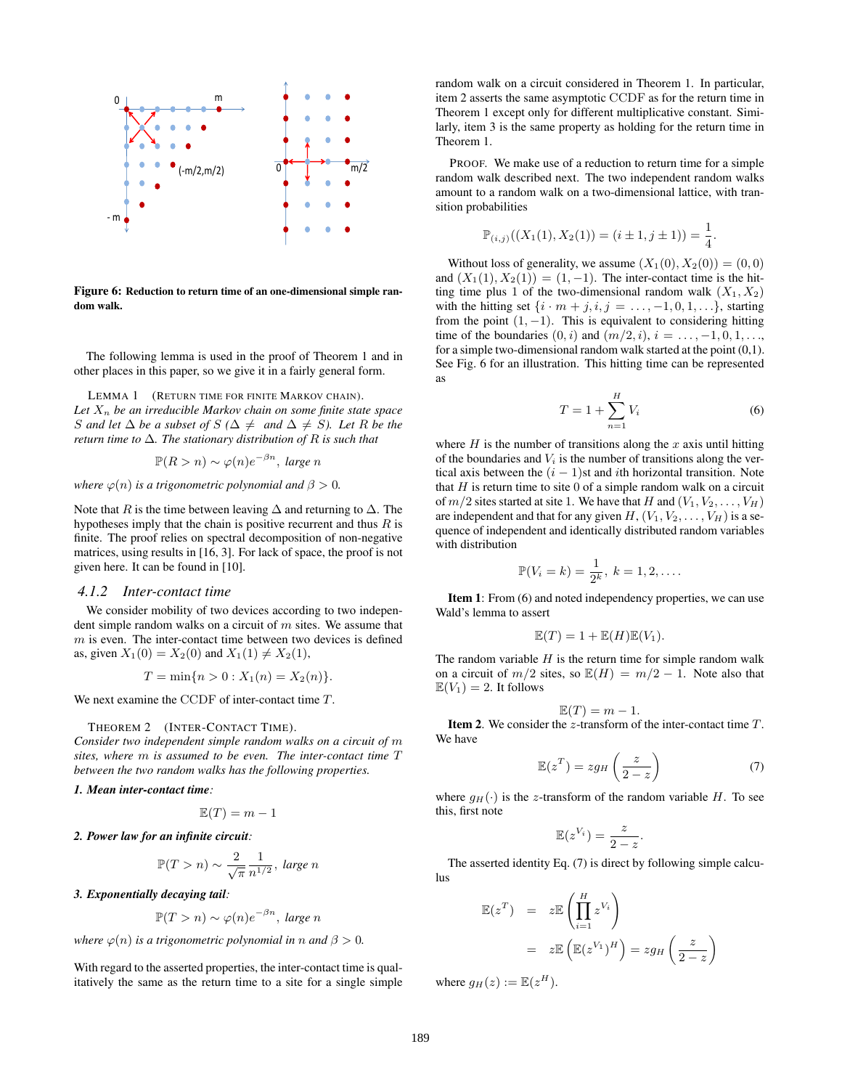

Figure 6: Reduction to return time of an one-dimensional simple random walk.

The following lemma is used in the proof of Theorem 1 and in other places in this paper, so we give it in a fairly general form.

LEMMA 1 (RETURN TIME FOR FINITE MARKOV CHAIN). Let  $X_n$  be an irreducible Markov chain on some finite state space S and let  $\Delta$  *be a subset of*  $S(\Delta \neq \mathit{and} \Delta \neq S)$ *. Let* R *be the return time to* ∆*. The stationary distribution of* R *is such that*

$$
\mathbb{P}(R > n) \sim \varphi(n)e^{-\beta n}, \text{ large } n
$$

*where*  $\varphi(n)$  *is a trigonometric polynomial and*  $\beta > 0$ *.* 

Note that R is the time between leaving  $\Delta$  and returning to  $\Delta$ . The hypotheses imply that the chain is positive recurrent and thus  $R$  is finite. The proof relies on spectral decomposition of non-negative matrices, using results in [16, 3]. For lack of space, the proof is not given here. It can be found in [10].

#### *4.1.2 Inter-contact time*

We consider mobility of two devices according to two independent simple random walks on a circuit of  $m$  sites. We assume that  $m$  is even. The inter-contact time between two devices is defined as, given  $X_1(0) = X_2(0)$  and  $X_1(1) \neq X_2(1)$ ,

$$
T = \min\{n > 0 : X_1(n) = X_2(n)\}.
$$

We next examine the CCDF of inter-contact time T.

#### THEOREM 2 (INTER-CONTACT TIME).

*Consider two independent simple random walks on a circuit of* m *sites, where* m *is assumed to be even. The inter-contact time* T *between the two random walks has the following properties.*

#### *1. Mean inter-contact time:*

$$
\mathbb{E}(T) = m - 1
$$

#### *2. Power law for an infinite circuit:*

$$
\mathbb{P}(T > n) \sim \frac{2}{\sqrt{\pi}} \frac{1}{n^{1/2}}, \text{ large } n
$$

### *3. Exponentially decaying tail:*

$$
\mathbb{P}(T > n) \sim \varphi(n)e^{-\beta n}, \text{ large } n
$$

*where*  $\varphi(n)$  *is a trigonometric polynomial in n and*  $\beta > 0$ *.* 

With regard to the asserted properties, the inter-contact time is qualitatively the same as the return time to a site for a single simple random walk on a circuit considered in Theorem 1. In particular, item 2 asserts the same asymptotic CCDF as for the return time in Theorem 1 except only for different multiplicative constant. Similarly, item 3 is the same property as holding for the return time in Theorem 1.

PROOF. We make use of a reduction to return time for a simple random walk described next. The two independent random walks amount to a random walk on a two-dimensional lattice, with transition probabilities

$$
\mathbb{P}_{(i,j)}((X_1(1),X_2(1))=(i\pm 1,j\pm 1))=\frac{1}{4}
$$

Without loss of generality, we assume  $(X_1(0), X_2(0)) = (0, 0)$ and  $(X_1(1), X_2(1)) = (1, -1)$ . The inter-contact time is the hitting time plus 1 of the two-dimensional random walk  $(X_1, X_2)$ with the hitting set  $\{i \cdot m + j, i, j = \ldots, -1, 0, 1, \ldots\}$ , starting from the point  $(1, -1)$ . This is equivalent to considering hitting time of the boundaries  $(0, i)$  and  $(m/2, i)$ ,  $i = \ldots, -1, 0, 1, \ldots$ , for a simple two-dimensional random walk started at the point (0,1). See Fig. 6 for an illustration. This hitting time can be represented as

$$
T = 1 + \sum_{n=1}^{H} V_i
$$
 (6)

.

where  $H$  is the number of transitions along the  $x$  axis until hitting of the boundaries and  $V_i$  is the number of transitions along the vertical axis between the  $(i - 1)$ st and *i*th horizontal transition. Note that  $H$  is return time to site 0 of a simple random walk on a circuit of  $m/2$  sites started at site 1. We have that H and  $(V_1, V_2, \ldots, V_H)$ are independent and that for any given  $H$ ,  $(V_1, V_2, \ldots, V_H)$  is a sequence of independent and identically distributed random variables with distribution

$$
\mathbb{P}(V_i = k) = \frac{1}{2^k}, \ k = 1, 2, \dots.
$$

Item 1: From (6) and noted independency properties, we can use Wald's lemma to assert

$$
\mathbb{E}(T) = 1 + \mathbb{E}(H)\mathbb{E}(V_1).
$$

The random variable  $H$  is the return time for simple random walk on a circuit of  $m/2$  sites, so  $\mathbb{E}(H) = m/2 - 1$ . Note also that  $\mathbb{E}(V_1) = 2$ . It follows

$$
\mathbb{E}(T) = m - 1.
$$

**Item 2.** We consider the  $\zeta$ -transform of the inter-contact time  $T$ . We have

$$
\mathbb{E}(z^T) = zg_H\left(\frac{z}{2-z}\right) \tag{7}
$$

where  $q_H(\cdot)$  is the z-transform of the random variable H. To see this, first note

$$
\mathbb{E}(z^{V_i}) = \frac{z}{2-z}.
$$

The asserted identity Eq. (7) is direct by following simple calculus

$$
\mathbb{E}(z^T) = z \mathbb{E}\left(\prod_{i=1}^H z^{V_i}\right)
$$
  
=  $z \mathbb{E}\left(\mathbb{E}(z^{V_1})^H\right) = zg_H\left(\frac{z}{2-z}\right)$ 

where  $g_H(z) := \mathbb{E}(z^H)$ .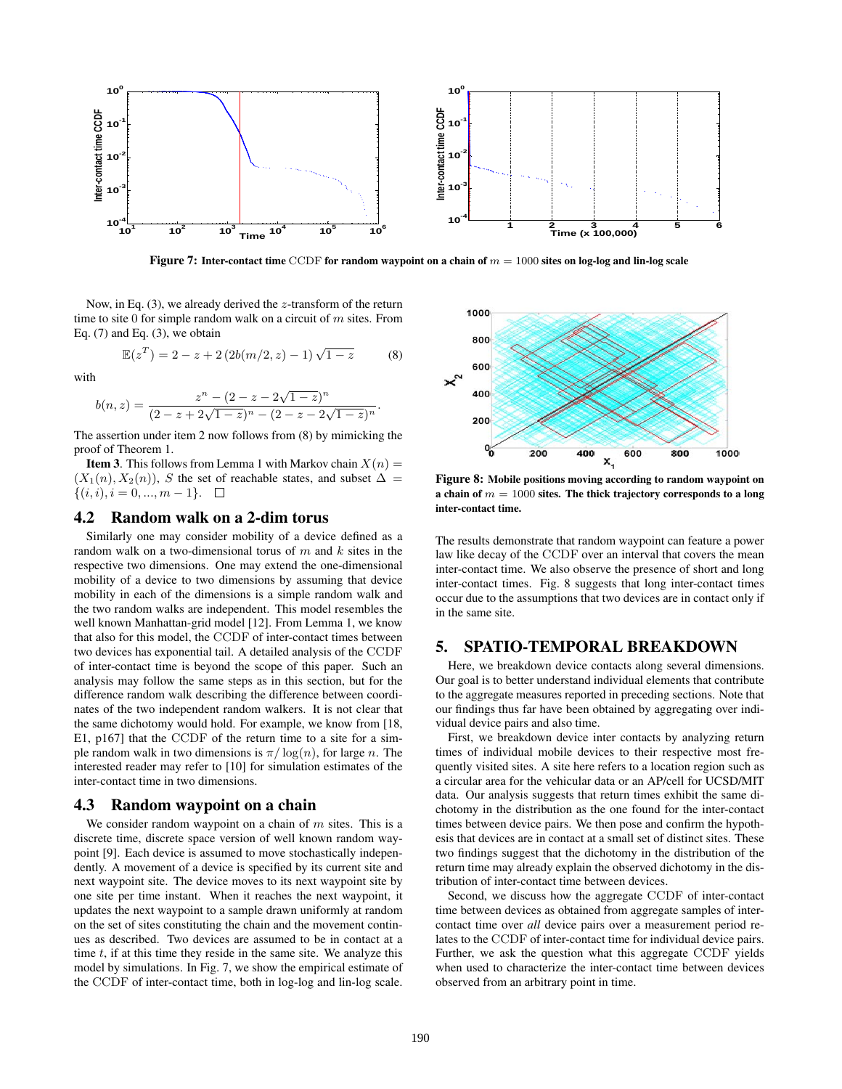

Figure 7: Inter-contact time CCDF for random waypoint on a chain of  $m = 1000$  sites on log-log and lin-log scale

Now, in Eq.  $(3)$ , we already derived the z-transform of the return time to site 0 for simple random walk on a circuit of  $m$  sites. From Eq.  $(7)$  and Eq.  $(3)$ , we obtain

$$
\mathbb{E}(z^T) = 2 - z + 2(2b(m/2, z) - 1)\sqrt{1 - z}
$$
 (8)

with

$$
b(n,z) = \frac{z^n - (2 - z - 2\sqrt{1 - z})^n}{(2 - z + 2\sqrt{1 - z})^n - (2 - z - 2\sqrt{1 - z})^n}.
$$

The assertion under item 2 now follows from (8) by mimicking the proof of Theorem 1.

**Item 3.** This follows from Lemma 1 with Markov chain  $X(n) =$  $(X_1(n), X_2(n))$ , S the set of reachable states, and subset  $\Delta =$  $\{(i, i), i = 0, ..., m-1\}. \square$ 

### 4.2 Random walk on a 2-dim torus

Similarly one may consider mobility of a device defined as a random walk on a two-dimensional torus of  $m$  and  $k$  sites in the respective two dimensions. One may extend the one-dimensional mobility of a device to two dimensions by assuming that device mobility in each of the dimensions is a simple random walk and the two random walks are independent. This model resembles the well known Manhattan-grid model [12]. From Lemma 1, we know that also for this model, the CCDF of inter-contact times between two devices has exponential tail. A detailed analysis of the CCDF of inter-contact time is beyond the scope of this paper. Such an analysis may follow the same steps as in this section, but for the difference random walk describing the difference between coordinates of the two independent random walkers. It is not clear that the same dichotomy would hold. For example, we know from [18, E1, p167] that the CCDF of the return time to a site for a simple random walk in two dimensions is  $\pi / \log(n)$ , for large *n*. The interested reader may refer to [10] for simulation estimates of the inter-contact time in two dimensions.

### 4.3 Random waypoint on a chain

We consider random waypoint on a chain of  $m$  sites. This is a discrete time, discrete space version of well known random waypoint [9]. Each device is assumed to move stochastically independently. A movement of a device is specified by its current site and next waypoint site. The device moves to its next waypoint site by one site per time instant. When it reaches the next waypoint, it updates the next waypoint to a sample drawn uniformly at random on the set of sites constituting the chain and the movement continues as described. Two devices are assumed to be in contact at a time  $t$ , if at this time they reside in the same site. We analyze this model by simulations. In Fig. 7, we show the empirical estimate of the CCDF of inter-contact time, both in log-log and lin-log scale.



Figure 8: Mobile positions moving according to random waypoint on a chain of  $m = 1000$  sites. The thick trajectory corresponds to a long inter-contact time.

The results demonstrate that random waypoint can feature a power law like decay of the CCDF over an interval that covers the mean inter-contact time. We also observe the presence of short and long inter-contact times. Fig. 8 suggests that long inter-contact times occur due to the assumptions that two devices are in contact only if in the same site.

# 5. SPATIO-TEMPORAL BREAKDOWN

Here, we breakdown device contacts along several dimensions. Our goal is to better understand individual elements that contribute to the aggregate measures reported in preceding sections. Note that our findings thus far have been obtained by aggregating over individual device pairs and also time.

First, we breakdown device inter contacts by analyzing return times of individual mobile devices to their respective most frequently visited sites. A site here refers to a location region such as a circular area for the vehicular data or an AP/cell for UCSD/MIT data. Our analysis suggests that return times exhibit the same dichotomy in the distribution as the one found for the inter-contact times between device pairs. We then pose and confirm the hypothesis that devices are in contact at a small set of distinct sites. These two findings suggest that the dichotomy in the distribution of the return time may already explain the observed dichotomy in the distribution of inter-contact time between devices.

Second, we discuss how the aggregate CCDF of inter-contact time between devices as obtained from aggregate samples of intercontact time over *all* device pairs over a measurement period relates to the CCDF of inter-contact time for individual device pairs. Further, we ask the question what this aggregate CCDF yields when used to characterize the inter-contact time between devices observed from an arbitrary point in time.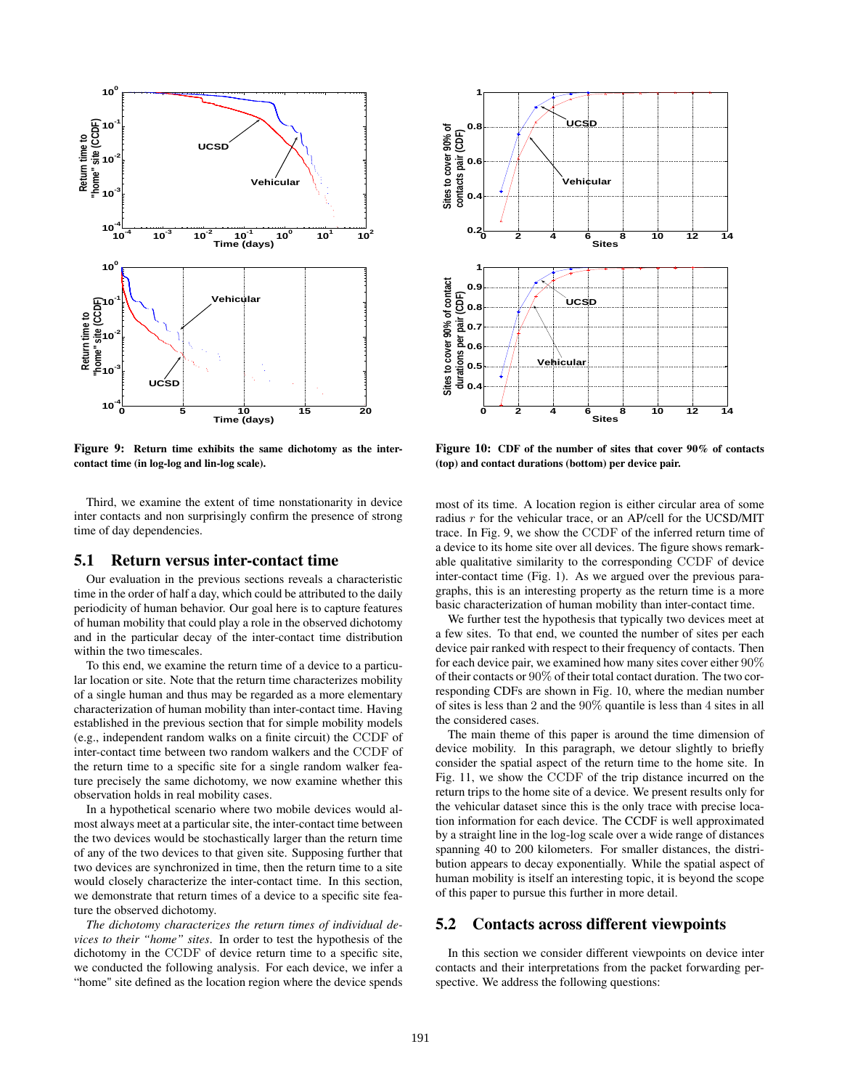

Figure 9: Return time exhibits the same dichotomy as the intercontact time (in log-log and lin-log scale).

Third, we examine the extent of time nonstationarity in device inter contacts and non surprisingly confirm the presence of strong time of day dependencies.

### 5.1 Return versus inter-contact time

Our evaluation in the previous sections reveals a characteristic time in the order of half a day, which could be attributed to the daily periodicity of human behavior. Our goal here is to capture features of human mobility that could play a role in the observed dichotomy and in the particular decay of the inter-contact time distribution within the two timescales.

To this end, we examine the return time of a device to a particular location or site. Note that the return time characterizes mobility of a single human and thus may be regarded as a more elementary characterization of human mobility than inter-contact time. Having established in the previous section that for simple mobility models (e.g., independent random walks on a finite circuit) the CCDF of inter-contact time between two random walkers and the CCDF of the return time to a specific site for a single random walker feature precisely the same dichotomy, we now examine whether this observation holds in real mobility cases.

In a hypothetical scenario where two mobile devices would almost always meet at a particular site, the inter-contact time between the two devices would be stochastically larger than the return time of any of the two devices to that given site. Supposing further that two devices are synchronized in time, then the return time to a site would closely characterize the inter-contact time. In this section, we demonstrate that return times of a device to a specific site feature the observed dichotomy.

*The dichotomy characterizes the return times of individual devices to their "home" sites*. In order to test the hypothesis of the dichotomy in the CCDF of device return time to a specific site, we conducted the following analysis. For each device, we infer a "home" site defined as the location region where the device spends



Figure 10: CDF of the number of sites that cover 90% of contacts (top) and contact durations (bottom) per device pair.

most of its time. A location region is either circular area of some radius r for the vehicular trace, or an AP/cell for the UCSD/MIT trace. In Fig. 9, we show the CCDF of the inferred return time of a device to its home site over all devices. The figure shows remarkable qualitative similarity to the corresponding CCDF of device inter-contact time (Fig. 1). As we argued over the previous paragraphs, this is an interesting property as the return time is a more basic characterization of human mobility than inter-contact time.

We further test the hypothesis that typically two devices meet at a few sites. To that end, we counted the number of sites per each device pair ranked with respect to their frequency of contacts. Then for each device pair, we examined how many sites cover either 90% of their contacts or 90% of their total contact duration. The two corresponding CDFs are shown in Fig. 10, where the median number of sites is less than 2 and the 90% quantile is less than 4 sites in all the considered cases.

The main theme of this paper is around the time dimension of device mobility. In this paragraph, we detour slightly to briefly consider the spatial aspect of the return time to the home site. In Fig. 11, we show the CCDF of the trip distance incurred on the return trips to the home site of a device. We present results only for the vehicular dataset since this is the only trace with precise location information for each device. The CCDF is well approximated by a straight line in the log-log scale over a wide range of distances spanning 40 to 200 kilometers. For smaller distances, the distribution appears to decay exponentially. While the spatial aspect of human mobility is itself an interesting topic, it is beyond the scope of this paper to pursue this further in more detail.

### 5.2 Contacts across different viewpoints

In this section we consider different viewpoints on device inter contacts and their interpretations from the packet forwarding perspective. We address the following questions: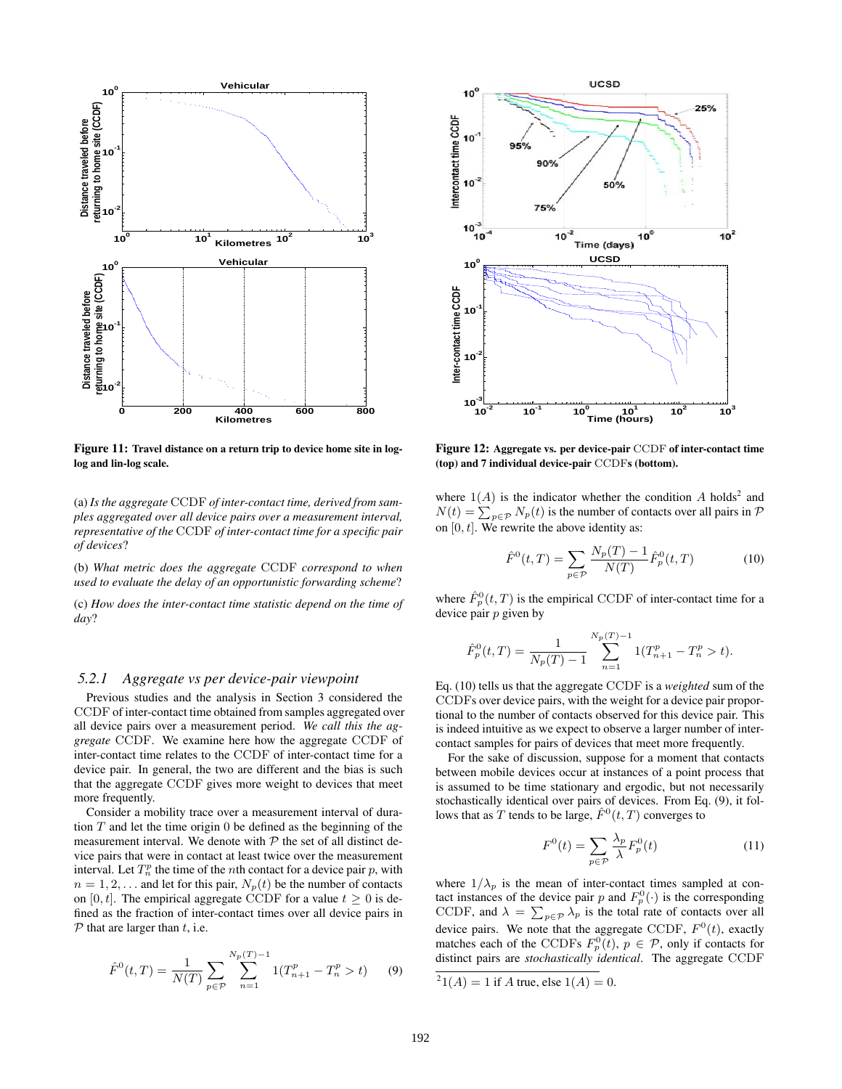

Figure 11: Travel distance on a return trip to device home site in loglog and lin-log scale.

(a) *Is the aggregate* CCDF *of inter-contact time, derived from samples aggregated over all device pairs over a measurement interval, representative of the* CCDF *of inter-contact time for a specific pair of devices*?

(b) *What metric does the aggregate* CCDF *correspond to when used to evaluate the delay of an opportunistic forwarding scheme*?

(c) *How does the inter-contact time statistic depend on the time of day*?

### *5.2.1 Aggregate vs per device-pair viewpoint*

Previous studies and the analysis in Section 3 considered the CCDF of inter-contact time obtained from samples aggregated over all device pairs over a measurement period. *We call this the aggregate* CCDF. We examine here how the aggregate CCDF of inter-contact time relates to the CCDF of inter-contact time for a device pair. In general, the two are different and the bias is such that the aggregate CCDF gives more weight to devices that meet more frequently.

Consider a mobility trace over a measurement interval of duration  $T$  and let the time origin 0 be defined as the beginning of the measurement interval. We denote with  $P$  the set of all distinct device pairs that were in contact at least twice over the measurement interval. Let  $T_n^p$  the time of the *n*th contact for a device pair p, with  $n = 1, 2, \dots$  and let for this pair,  $N_p(t)$  be the number of contacts on [0, t]. The empirical aggregate CCDF for a value  $t \geq 0$  is defined as the fraction of inter-contact times over all device pairs in  $P$  that are larger than  $t$ , i.e.

$$
\hat{F}^0(t,T) = \frac{1}{N(T)} \sum_{p \in \mathcal{P}} \sum_{n=1}^{N_p(T)-1} 1(T_{n+1}^p - T_n^p > t) \tag{9}
$$



Figure 12: Aggregate vs. per device-pair CCDF of inter-contact time (top) and 7 individual device-pair CCDFs (bottom).

where  $1(A)$  is the indicator whether the condition A holds<sup>2</sup> and  $N(t) = \sum_{p \in \mathcal{P}} N_p(t)$  is the number of contacts over all pairs in  $\mathcal{P}$ on  $[0, t]$ . We rewrite the above identity as:

$$
\hat{F}^0(t,T) = \sum_{p \in \mathcal{P}} \frac{N_p(T) - 1}{N(T)} \hat{F}_p^0(t,T) \tag{10}
$$

where  $\hat{F}_p^0(t,T)$  is the empirical CCDF of inter-contact time for a device pair  $p$  given by

$$
\hat{F}_p^0(t,T) = \frac{1}{N_p(T)-1} \sum_{n=1}^{N_p(T)-1} 1(T_{n+1}^p - T_n^p > t).
$$

Eq. (10) tells us that the aggregate CCDF is a *weighted* sum of the CCDFs over device pairs, with the weight for a device pair proportional to the number of contacts observed for this device pair. This is indeed intuitive as we expect to observe a larger number of intercontact samples for pairs of devices that meet more frequently.

For the sake of discussion, suppose for a moment that contacts between mobile devices occur at instances of a point process that is assumed to be time stationary and ergodic, but not necessarily stochastically identical over pairs of devices. From Eq. (9), it follows that as T tends to be large,  $\hat{F}^0(t,T)$  converges to

$$
F^{0}(t) = \sum_{p \in \mathcal{P}} \frac{\lambda_{p}}{\lambda} F_{p}^{0}(t)
$$
 (11)

where  $1/\lambda_p$  is the mean of inter-contact times sampled at contact instances of the device pair p and  $F_p^0(\cdot)$  is the corresponding CCDF, and  $\lambda = \sum_{p \in \mathcal{P}} \lambda_p$  is the total rate of contacts over all device pairs. We note that the aggregate CCDF,  $F^0(t)$ , exactly matches each of the CCDFs  $F_p^0(t)$ ,  $p \in \mathcal{P}$ , only if contacts for distinct pairs are *stochastically identical*. The aggregate CCDF

 $2^{2}1(A) = 1$  if A true, else  $1(A) = 0$ .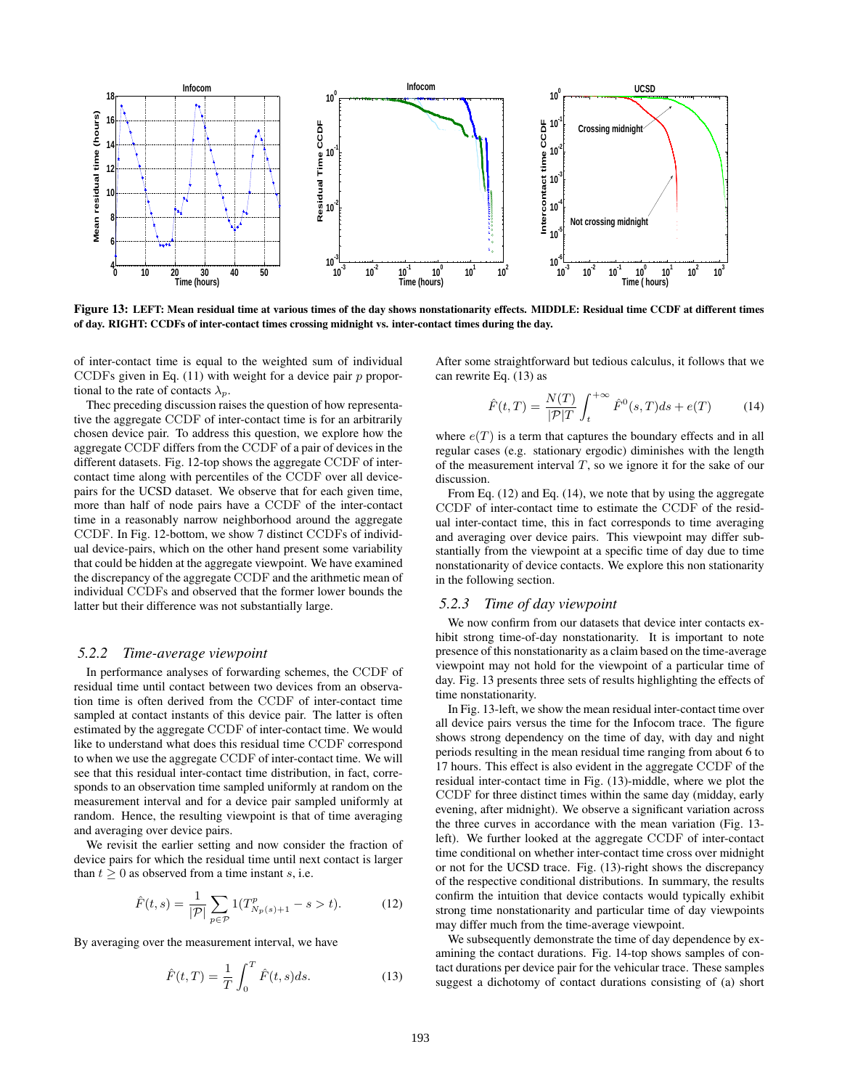

Figure 13: LEFT: Mean residual time at various times of the day shows nonstationarity effects. MIDDLE: Residual time CCDF at different times of day. RIGHT: CCDFs of inter-contact times crossing midnight vs. inter-contact times during the day.

of inter-contact time is equal to the weighted sum of individual CCDFs given in Eq.  $(11)$  with weight for a device pair  $p$  proportional to the rate of contacts  $\lambda_p$ .

Thec preceding discussion raises the question of how representative the aggregate CCDF of inter-contact time is for an arbitrarily chosen device pair. To address this question, we explore how the aggregate CCDF differs from the CCDF of a pair of devices in the different datasets. Fig. 12-top shows the aggregate CCDF of intercontact time along with percentiles of the CCDF over all devicepairs for the UCSD dataset. We observe that for each given time, more than half of node pairs have a CCDF of the inter-contact time in a reasonably narrow neighborhood around the aggregate CCDF. In Fig. 12-bottom, we show 7 distinct CCDFs of individual device-pairs, which on the other hand present some variability that could be hidden at the aggregate viewpoint. We have examined the discrepancy of the aggregate CCDF and the arithmetic mean of individual CCDFs and observed that the former lower bounds the latter but their difference was not substantially large.

#### *5.2.2 Time-average viewpoint*

In performance analyses of forwarding schemes, the CCDF of residual time until contact between two devices from an observation time is often derived from the CCDF of inter-contact time sampled at contact instants of this device pair. The latter is often estimated by the aggregate CCDF of inter-contact time. We would like to understand what does this residual time CCDF correspond to when we use the aggregate CCDF of inter-contact time. We will see that this residual inter-contact time distribution, in fact, corresponds to an observation time sampled uniformly at random on the measurement interval and for a device pair sampled uniformly at random. Hence, the resulting viewpoint is that of time averaging and averaging over device pairs.

We revisit the earlier setting and now consider the fraction of device pairs for which the residual time until next contact is larger than  $t \geq 0$  as observed from a time instant s, i.e.

$$
\hat{F}(t,s) = \frac{1}{|\mathcal{P}|} \sum_{p \in \mathcal{P}} 1(T_{N_p(s)+1}^p - s > t).
$$
 (12)

By averaging over the measurement interval, we have

$$
\hat{F}(t,T) = \frac{1}{T} \int_0^T \hat{F}(t,s)ds.
$$
 (13)

After some straightforward but tedious calculus, it follows that we can rewrite Eq. (13) as

$$
\hat{F}(t,T) = \frac{N(T)}{|\mathcal{P}|T} \int_{t}^{+\infty} \hat{F}^{0}(s,T)ds + e(T)
$$
 (14)

where  $e(T)$  is a term that captures the boundary effects and in all regular cases (e.g. stationary ergodic) diminishes with the length of the measurement interval  $T$ , so we ignore it for the sake of our discussion.

From Eq. (12) and Eq. (14), we note that by using the aggregate CCDF of inter-contact time to estimate the CCDF of the residual inter-contact time, this in fact corresponds to time averaging and averaging over device pairs. This viewpoint may differ substantially from the viewpoint at a specific time of day due to time nonstationarity of device contacts. We explore this non stationarity in the following section.

#### *5.2.3 Time of day viewpoint*

We now confirm from our datasets that device inter contacts exhibit strong time-of-day nonstationarity. It is important to note presence of this nonstationarity as a claim based on the time-average viewpoint may not hold for the viewpoint of a particular time of day. Fig. 13 presents three sets of results highlighting the effects of time nonstationarity.

In Fig. 13-left, we show the mean residual inter-contact time over all device pairs versus the time for the Infocom trace. The figure shows strong dependency on the time of day, with day and night periods resulting in the mean residual time ranging from about 6 to 17 hours. This effect is also evident in the aggregate CCDF of the residual inter-contact time in Fig. (13)-middle, where we plot the CCDF for three distinct times within the same day (midday, early evening, after midnight). We observe a significant variation across the three curves in accordance with the mean variation (Fig. 13 left). We further looked at the aggregate CCDF of inter-contact time conditional on whether inter-contact time cross over midnight or not for the UCSD trace. Fig. (13)-right shows the discrepancy of the respective conditional distributions. In summary, the results confirm the intuition that device contacts would typically exhibit strong time nonstationarity and particular time of day viewpoints may differ much from the time-average viewpoint.

We subsequently demonstrate the time of day dependence by examining the contact durations. Fig. 14-top shows samples of contact durations per device pair for the vehicular trace. These samples suggest a dichotomy of contact durations consisting of (a) short